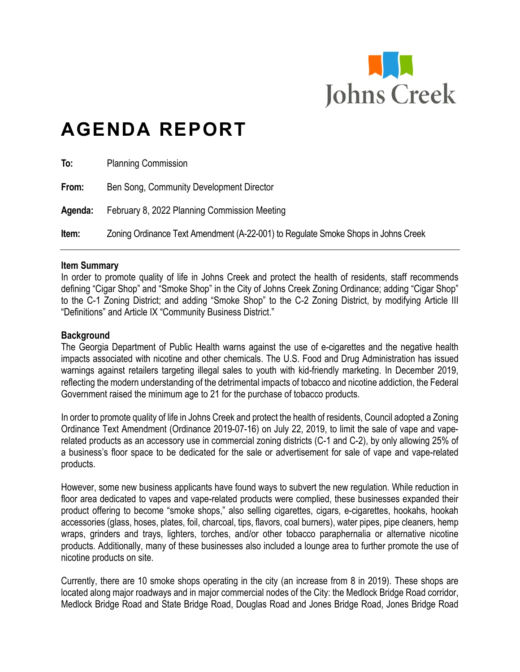

# **AGENDA REPORT**

| To:     | <b>Planning Commission</b>                                                        |
|---------|-----------------------------------------------------------------------------------|
| From:   | Ben Song, Community Development Director                                          |
| Agenda: | February 8, 2022 Planning Commission Meeting                                      |
| Item:   | Zoning Ordinance Text Amendment (A-22-001) to Regulate Smoke Shops in Johns Creek |

#### **Item Summary**

In order to promote quality of life in Johns Creek and protect the health of residents, staff recommends defining "Cigar Shop" and "Smoke Shop" in the City of Johns Creek Zoning Ordinance; adding "Cigar Shop" to the C-1 Zoning District; and adding "Smoke Shop" to the C-2 Zoning District, by modifying Article III "Definitions" and Article IX "Community Business District."

#### **Background**

The Georgia Department of Public Health warns against the use of e-cigarettes and the negative health impacts associated with nicotine and other chemicals. The U.S. Food and Drug Administration has issued warnings against retailers targeting illegal sales to youth with kid-friendly marketing. In December 2019, reflecting the modern understanding of the detrimental impacts of tobacco and nicotine addiction, the Federal Government raised the minimum age to 21 for the purchase of tobacco products.

In order to promote quality of life in Johns Creek and protect the health of residents, Council adopted a Zoning Ordinance Text Amendment (Ordinance 2019-07-16) on July 22, 2019, to limit the sale of vape and vaperelated products as an accessory use in commercial zoning districts (C-1 and C-2), by only allowing 25% of a business's floor space to be dedicated for the sale or advertisement for sale of vape and vape-related products.

However, some new business applicants have found ways to subvert the new regulation. While reduction in floor area dedicated to vapes and vape-related products were complied, these businesses expanded their product offering to become "smoke shops," also selling cigarettes, cigars, e-cigarettes, hookahs, hookah accessories (glass, hoses, plates, foil, charcoal, tips, flavors, coal burners), water pipes, pipe cleaners, hemp wraps, grinders and trays, lighters, torches, and/or other tobacco paraphernalia or alternative nicotine products. Additionally, many of these businesses also included a lounge area to further promote the use of nicotine products on site.

Currently, there are 10 smoke shops operating in the city (an increase from 8 in 2019). These shops are located along major roadways and in major commercial nodes of the City: the Medlock Bridge Road corridor, Medlock Bridge Road and State Bridge Road, Douglas Road and Jones Bridge Road, Jones Bridge Road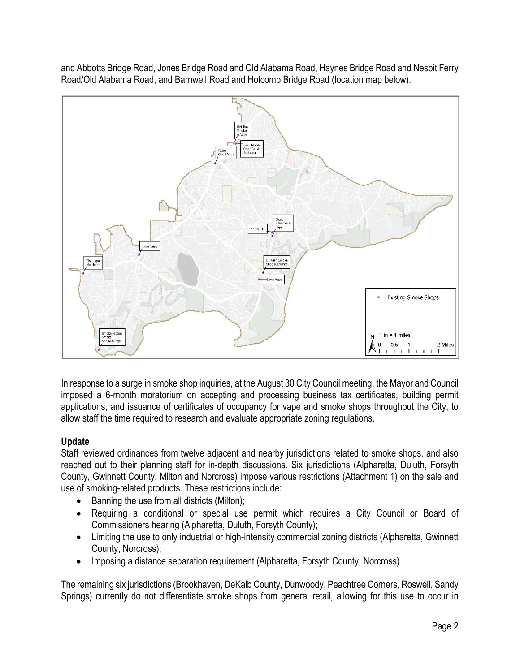and Abbotts Bridge Road, Jones Bridge Road and Old Alabama Road, Haynes Bridge Road and Nesbit Ferry Road/Old Alabama Road, and Barnwell Road and Holcomb Bridge Road (location map below).



In response to a surge in smoke shop inquiries, at the August 30 City Council meeting, the Mayor and Council imposed a 6-month moratorium on accepting and processing business tax certificates, building permit applications, and issuance of certificates of occupancy for vape and smoke shops throughout the City, to allow staff the time required to research and evaluate appropriate zoning regulations.

# **Update**

Staff reviewed ordinances from twelve adjacent and nearby jurisdictions related to smoke shops, and also reached out to their planning staff for in-depth discussions. Six jurisdictions (Alpharetta, Duluth, Forsyth County, Gwinnett County, Milton and Norcross) impose various restrictions (Attachment 1) on the sale and use of smoking-related products. These restrictions include:

- Banning the use from all districts (Milton);
- Requiring a conditional or special use permit which requires a City Council or Board of Commissioners hearing (Alpharetta, Duluth, Forsyth County);
- Limiting the use to only industrial or high-intensity commercial zoning districts (Alpharetta, Gwinnett County, Norcross);
- Imposing a distance separation requirement (Alpharetta, Forsyth County, Norcross)

The remaining six jurisdictions (Brookhaven, DeKalb County, Dunwoody, Peachtree Corners, Roswell, Sandy Springs) currently do not differentiate smoke shops from general retail, allowing for this use to occur in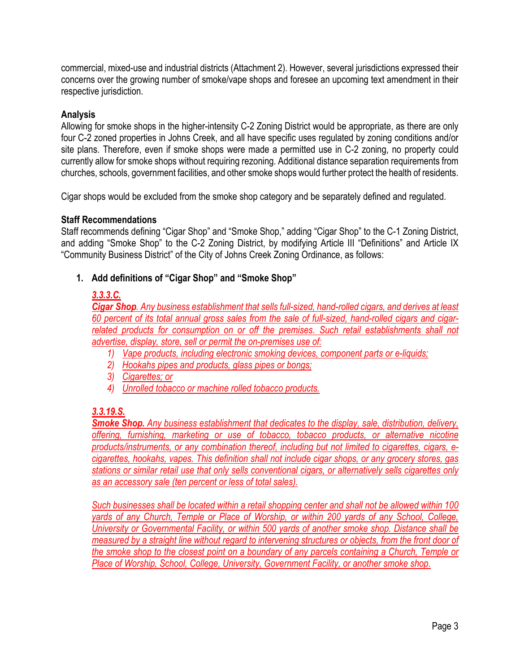commercial, mixed-use and industrial districts (Attachment 2). However, several jurisdictions expressed their concerns over the growing number of smoke/vape shops and foresee an upcoming text amendment in their respective jurisdiction.

# **Analysis**

Allowing for smoke shops in the higher-intensity C-2 Zoning District would be appropriate, as there are only four C-2 zoned properties in Johns Creek, and all have specific uses regulated by zoning conditions and/or site plans. Therefore, even if smoke shops were made a permitted use in C-2 zoning, no property could currently allow for smoke shops without requiring rezoning. Additional distance separation requirements from churches, schools, government facilities, and other smoke shops would further protect the health of residents.

Cigar shops would be excluded from the smoke shop category and be separately defined and regulated.

#### **Staff Recommendations**

Staff recommends defining "Cigar Shop" and "Smoke Shop," adding "Cigar Shop" to the C-1 Zoning District, and adding "Smoke Shop" to the C-2 Zoning District, by modifying Article III "Definitions" and Article IX "Community Business District" of the City of Johns Creek Zoning Ordinance, as follows:

# **1. Add definitions of "Cigar Shop" and "Smoke Shop"**

# *3.3.3.C.*

*Cigar Shop. Any business establishment that sells full-sized, hand-rolled cigars, and derives at least 60 percent of its total annual gross sales from the sale of full-sized, hand-rolled cigars and cigarrelated products for consumption on or off the premises. Such retail establishments shall not advertise, display, store, sell or permit the on-premises use of:*

- *1) Vape products, including electronic smoking devices, component parts or e-liquids;*
- *2) Hookahs pipes and products, glass pipes or bongs;*
- *3) Cigarettes; or*
- *4) Unrolled tobacco or machine rolled tobacco products.*

# *3.3.19.S.*

*Smoke Shop. Any business establishment that dedicates to the display, sale, distribution, delivery, offering, furnishing, marketing or use of tobacco, tobacco products, or alternative nicotine products/instruments, or any combination thereof, including but not limited to cigarettes, cigars, ecigarettes, hookahs, vapes. This definition shall not include cigar shops, or any grocery stores, gas stations or similar retail use that only sells conventional cigars, or alternatively sells cigarettes only as an accessory sale (ten percent or less of total sales).*

*Such businesses shall be located within a retail shopping center and shall not be allowed within 100 yards of any Church, Temple or Place of Worship, or within 200 yards of any School, College, University or Governmental Facility, or within 500 yards of another smoke shop. Distance shall be measured by a straight line without regard to intervening structures or objects, from the front door of the smoke shop to the closest point on a boundary of any parcels containing a Church, Temple or Place of Worship, School, College, University, Government Facility, or another smoke shop.*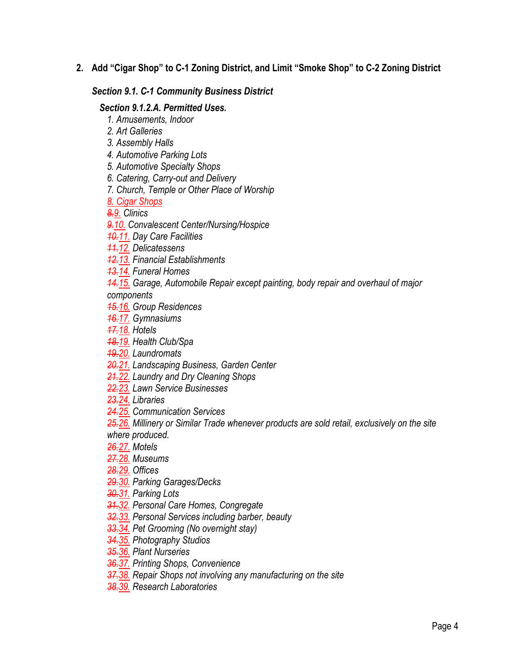**2. Add "Cigar Shop" to C-1 Zoning District, and Limit "Smoke Shop" to C-2 Zoning District** 

# *Section 9.1. C-1 Community Business District*

#### *Section 9.1.2.A. Permitted Uses.*

- *1. Amusements, Indoor*
- *2. Art Galleries*
- *3. Assembly Halls*
- *4. Automotive Parking Lots*
- *5. Automotive Specialty Shops*
- *6. Catering, Carry-out and Delivery*
- *7. Church, Temple or Other Place of Worship*

*8. Cigar Shops*

*8.9. Clinics*

*9.10. Convalescent Center/Nursing/Hospice*

- *10.11. Day Care Facilities*
- *11.12. Delicatessens*
- *12.13. Financial Establishments*
- *13.14. Funeral Homes*
- *14.15. Garage, Automobile Repair except painting, body repair and overhaul of major*

*components*

- *15.16. Group Residences*
- *16.17. Gymnasiums*
- *17.18. Hotels*
- *18.19. Health Club/Spa*
- *19.20. Laundromats*
- *20.21. Landscaping Business, Garden Center*
- *21.22. Laundry and Dry Cleaning Shops*
- *22.23. Lawn Service Businesses*
- *23.24. Libraries*
- *24.25. Communication Services*
- *25.26. Millinery or Similar Trade whenever products are sold retail, exclusively on the site where produced.*
- *26.27. Motels*
- *27.28. Museums*
- *28.29. Offices*
- *29.30. Parking Garages/Decks*
- *30.31. Parking Lots*
- *31.32. Personal Care Homes, Congregate*
- *32.33. Personal Services including barber, beauty*
- *33.34. Pet Grooming (No overnight stay)*
- *34.35. Photography Studios*
- *35.36. Plant Nurseries*
- *36.37. Printing Shops, Convenience*
- *37.38. Repair Shops not involving any manufacturing on the site*
- *38.39. Research Laboratories*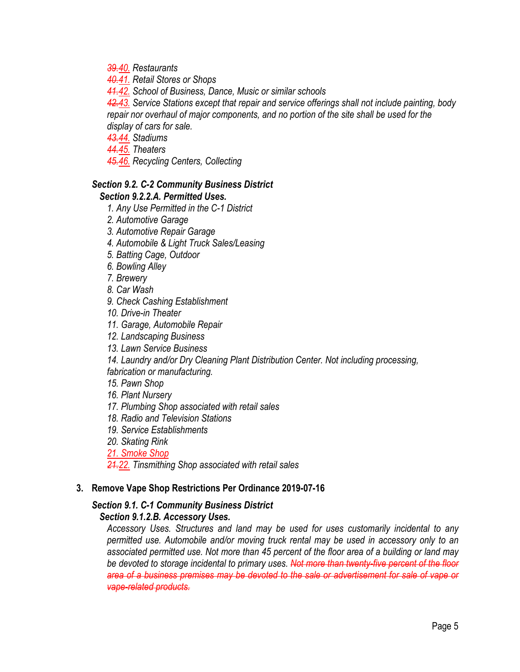*39.40. Restaurants*

*40.41. Retail Stores or Shops*

*41.42. School of Business, Dance, Music or similar schools*

*42.43. Service Stations except that repair and service offerings shall not include painting, body repair nor overhaul of major components, and no portion of the site shall be used for the display of cars for sale.*

*43.44. Stadiums*

*44.45. Theaters*

*45.46. Recycling Centers, Collecting*

#### *Section 9.2. C-2 Community Business District Section 9.2.2.A. Permitted Uses.*

*1. Any Use Permitted in the C-1 District*

*2. Automotive Garage*

*3. Automotive Repair Garage*

*4. Automobile & Light Truck Sales/Leasing*

*5. Batting Cage, Outdoor*

*6. Bowling Alley*

*7. Brewery*

*8. Car Wash*

*9. Check Cashing Establishment*

*10. Drive-in Theater*

*11. Garage, Automobile Repair*

*12. Landscaping Business*

*13. Lawn Service Business*

*14. Laundry and/or Dry Cleaning Plant Distribution Center. Not including processing, fabrication or manufacturing.*

*15. Pawn Shop*

*16. Plant Nursery*

*17. Plumbing Shop associated with retail sales*

*18. Radio and Television Stations*

*19. Service Establishments*

*20. Skating Rink*

*21. Smoke Shop*

*21.22. Tinsmithing Shop associated with retail sales*

#### **3. Remove Vape Shop Restrictions Per Ordinance 2019-07-16**

# *Section 9.1. C-1 Community Business District*

# *Section 9.1.2.B. Accessory Uses.*

*Accessory Uses. Structures and land may be used for uses customarily incidental to any permitted use. Automobile and/or moving truck rental may be used in accessory only to an associated permitted use. Not more than 45 percent of the floor area of a building or land may be devoted to storage incidental to primary uses. Not more than twenty-five percent of the floor area of a business premises may be devoted to the sale or advertisement for sale of vape or vape-related products.*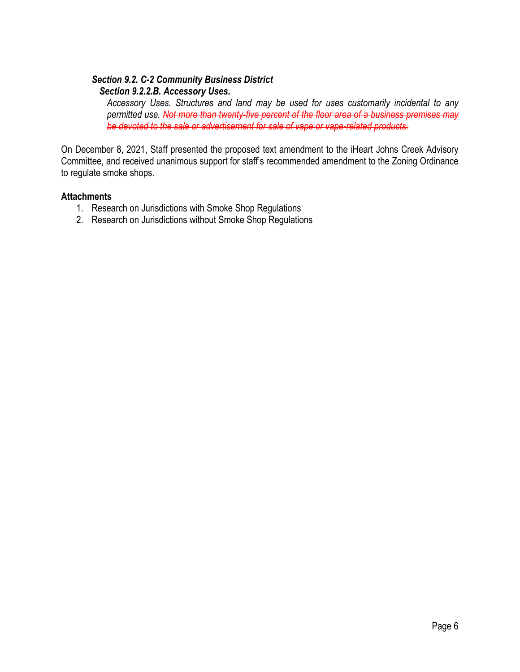# *Section 9.2. C-2 Community Business District Section 9.2.2.B. Accessory Uses.*

*Accessory Uses. Structures and land may be used for uses customarily incidental to any permitted use. Not more than twenty-five percent of the floor area of a business premises may be devoted to the sale or advertisement for sale of vape or vape-related products.*

On December 8, 2021, Staff presented the proposed text amendment to the iHeart Johns Creek Advisory Committee, and received unanimous support for staff's recommended amendment to the Zoning Ordinance to regulate smoke shops.

# **Attachments**

- 1. Research on Jurisdictions with Smoke Shop Regulations
- 2. Research on Jurisdictions without Smoke Shop Regulations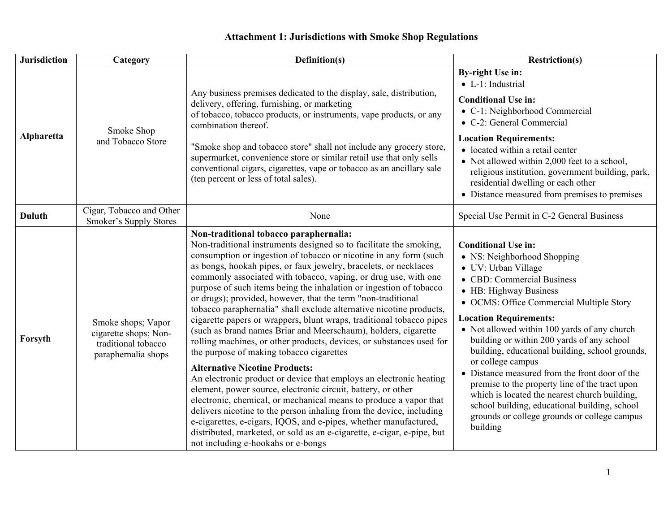# **Attachment 1: Jurisdictions with Smoke Shop Regulations**

| <b>Jurisdiction</b> | Category                                                                                  | Definition(s)                                                                                                                                                                                                                                                                                                                                                                                                                                                                                                                                                                                                                                                                                                                                                                                                                                                                                                                                                                                                                                                                                                                                                                                                                                                                                                      | <b>Restriction(s)</b>                                                                                                                                                                                                                                                                                                                                                                                                                                                                                                                                                                                                                                         |  |
|---------------------|-------------------------------------------------------------------------------------------|--------------------------------------------------------------------------------------------------------------------------------------------------------------------------------------------------------------------------------------------------------------------------------------------------------------------------------------------------------------------------------------------------------------------------------------------------------------------------------------------------------------------------------------------------------------------------------------------------------------------------------------------------------------------------------------------------------------------------------------------------------------------------------------------------------------------------------------------------------------------------------------------------------------------------------------------------------------------------------------------------------------------------------------------------------------------------------------------------------------------------------------------------------------------------------------------------------------------------------------------------------------------------------------------------------------------|---------------------------------------------------------------------------------------------------------------------------------------------------------------------------------------------------------------------------------------------------------------------------------------------------------------------------------------------------------------------------------------------------------------------------------------------------------------------------------------------------------------------------------------------------------------------------------------------------------------------------------------------------------------|--|
| Alpharetta          | Smoke Shop<br>and Tobacco Store                                                           | Any business premises dedicated to the display, sale, distribution,<br>delivery, offering, furnishing, or marketing<br>of tobacco, tobacco products, or instruments, vape products, or any<br>combination thereof.                                                                                                                                                                                                                                                                                                                                                                                                                                                                                                                                                                                                                                                                                                                                                                                                                                                                                                                                                                                                                                                                                                 | <b>By-right Use in:</b><br>$\bullet$ L-1: Industrial<br><b>Conditional Use in:</b><br>• C-1: Neighborhood Commercial<br>• C-2: General Commercial                                                                                                                                                                                                                                                                                                                                                                                                                                                                                                             |  |
|                     |                                                                                           | "Smoke shop and tobacco store" shall not include any grocery store,<br>supermarket, convenience store or similar retail use that only sells<br>conventional cigars, cigarettes, vape or tobacco as an ancillary sale<br>(ten percent or less of total sales).                                                                                                                                                                                                                                                                                                                                                                                                                                                                                                                                                                                                                                                                                                                                                                                                                                                                                                                                                                                                                                                      | <b>Location Requirements:</b><br>• located within a retail center<br>• Not allowed within 2,000 feet to a school,<br>religious institution, government building, park,<br>residential dwelling or each other<br>• Distance measured from premises to premises                                                                                                                                                                                                                                                                                                                                                                                                 |  |
| Duluth              | Cigar, Tobacco and Other<br>Smoker's Supply Stores                                        | None                                                                                                                                                                                                                                                                                                                                                                                                                                                                                                                                                                                                                                                                                                                                                                                                                                                                                                                                                                                                                                                                                                                                                                                                                                                                                                               | Special Use Permit in C-2 General Business                                                                                                                                                                                                                                                                                                                                                                                                                                                                                                                                                                                                                    |  |
| Forsyth             | Smoke shops; Vapor<br>cigarette shops; Non-<br>traditional tobacco<br>paraphernalia shops | Non-traditional tobacco paraphernalia:<br>Non-traditional instruments designed so to facilitate the smoking,<br>consumption or ingestion of tobacco or nicotine in any form (such<br>as bongs, hookah pipes, or faux jewelry, bracelets, or necklaces<br>commonly associated with tobacco, vaping, or drug use, with one<br>purpose of such items being the inhalation or ingestion of tobacco<br>or drugs); provided, however, that the term "non-traditional<br>tobacco paraphernalia" shall exclude alternative nicotine products,<br>cigarette papers or wrappers, blunt wraps, traditional tobacco pipes<br>(such as brand names Briar and Meerschaum), holders, cigarette<br>rolling machines, or other products, devices, or substances used for<br>the purpose of making tobacco cigarettes<br><b>Alternative Nicotine Products:</b><br>An electronic product or device that employs an electronic heating<br>element, power source, electronic circuit, battery, or other<br>electronic, chemical, or mechanical means to produce a vapor that<br>delivers nicotine to the person inhaling from the device, including<br>e-cigarettes, e-cigars, IQOS, and e-pipes, whether manufactured,<br>distributed, marketed, or sold as an e-cigarette, e-cigar, e-pipe, but<br>not including e-hookahs or e-bongs | <b>Conditional Use in:</b><br>• NS: Neighborhood Shopping<br>• UV: Urban Village<br>• CBD: Commercial Business<br>• HB: Highway Business<br>• OCMS: Office Commercial Multiple Story<br><b>Location Requirements:</b><br>• Not allowed within 100 yards of any church<br>building or within 200 yards of any school<br>building, educational building, school grounds,<br>or college campus<br>• Distance measured from the front door of the<br>premise to the property line of the tract upon<br>which is located the nearest church building,<br>school building, educational building, school<br>grounds or college grounds or college campus<br>building |  |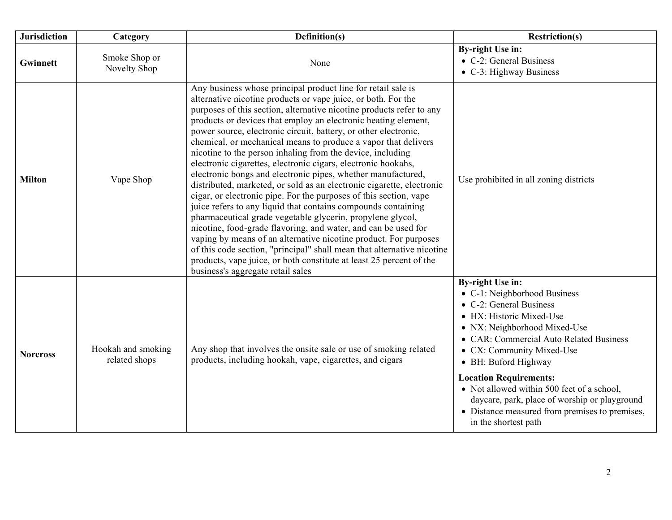| <b>Jurisdiction</b> | Category                            | Definition(s)                                                                                                                                                                                                                                                                                                                                                                                                                                                                                                                                                                                                                                                                                                                                                                                                                                                                                                                                                                                                                                                                                                                                                                                                        | <b>Restriction(s)</b>                                                                                                                                                                                                                                                                                                                                                                                                                                    |  |
|---------------------|-------------------------------------|----------------------------------------------------------------------------------------------------------------------------------------------------------------------------------------------------------------------------------------------------------------------------------------------------------------------------------------------------------------------------------------------------------------------------------------------------------------------------------------------------------------------------------------------------------------------------------------------------------------------------------------------------------------------------------------------------------------------------------------------------------------------------------------------------------------------------------------------------------------------------------------------------------------------------------------------------------------------------------------------------------------------------------------------------------------------------------------------------------------------------------------------------------------------------------------------------------------------|----------------------------------------------------------------------------------------------------------------------------------------------------------------------------------------------------------------------------------------------------------------------------------------------------------------------------------------------------------------------------------------------------------------------------------------------------------|--|
| Gwinnett            | Smoke Shop or<br>Novelty Shop       | None                                                                                                                                                                                                                                                                                                                                                                                                                                                                                                                                                                                                                                                                                                                                                                                                                                                                                                                                                                                                                                                                                                                                                                                                                 | <b>By-right Use in:</b><br>• C-2: General Business<br>• C-3: Highway Business                                                                                                                                                                                                                                                                                                                                                                            |  |
| <b>Milton</b>       | Vape Shop                           | Any business whose principal product line for retail sale is<br>alternative nicotine products or vape juice, or both. For the<br>purposes of this section, alternative nicotine products refer to any<br>products or devices that employ an electronic heating element,<br>power source, electronic circuit, battery, or other electronic,<br>chemical, or mechanical means to produce a vapor that delivers<br>nicotine to the person inhaling from the device, including<br>electronic cigarettes, electronic cigars, electronic hookahs,<br>electronic bongs and electronic pipes, whether manufactured,<br>distributed, marketed, or sold as an electronic cigarette, electronic<br>cigar, or electronic pipe. For the purposes of this section, vape<br>juice refers to any liquid that contains compounds containing<br>pharmaceutical grade vegetable glycerin, propylene glycol,<br>nicotine, food-grade flavoring, and water, and can be used for<br>vaping by means of an alternative nicotine product. For purposes<br>of this code section, "principal" shall mean that alternative nicotine<br>products, vape juice, or both constitute at least 25 percent of the<br>business's aggregate retail sales | Use prohibited in all zoning districts                                                                                                                                                                                                                                                                                                                                                                                                                   |  |
| <b>Norcross</b>     | Hookah and smoking<br>related shops | Any shop that involves the onsite sale or use of smoking related<br>products, including hookah, vape, cigarettes, and cigars                                                                                                                                                                                                                                                                                                                                                                                                                                                                                                                                                                                                                                                                                                                                                                                                                                                                                                                                                                                                                                                                                         | <b>By-right Use in:</b><br>• C-1: Neighborhood Business<br>• C-2: General Business<br>• HX: Historic Mixed-Use<br>• NX: Neighborhood Mixed-Use<br>• CAR: Commercial Auto Related Business<br>• CX: Community Mixed-Use<br>• BH: Buford Highway<br><b>Location Requirements:</b><br>• Not allowed within 500 feet of a school,<br>daycare, park, place of worship or playground<br>• Distance measured from premises to premises,<br>in the shortest path |  |